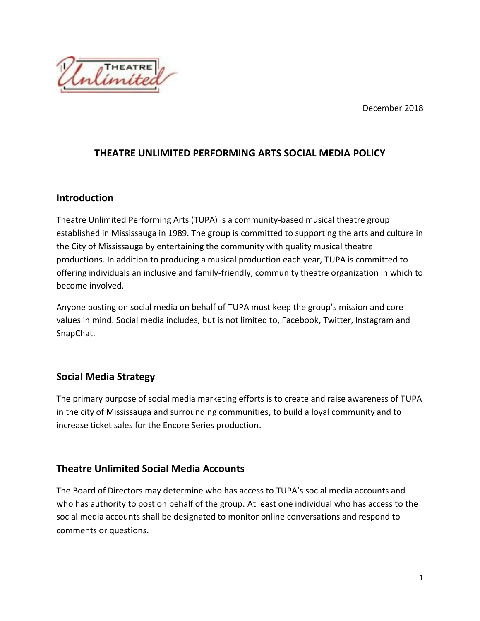December 2018



## **THEATRE UNLIMITED PERFORMING ARTS SOCIAL MEDIA POLICY**

#### **Introduction**

Theatre Unlimited Performing Arts (TUPA) is a community-based musical theatre group established in Mississauga in 1989. The group is committed to supporting the arts and culture in the City of Mississauga by entertaining the community with quality musical theatre productions. In addition to producing a musical production each year, TUPA is committed to offering individuals an inclusive and family-friendly, community theatre organization in which to become involved.

Anyone posting on social media on behalf of TUPA must keep the group's mission and core values in mind. Social media includes, but is not limited to, Facebook, Twitter, Instagram and SnapChat.

#### **Social Media Strategy**

The primary purpose of social media marketing efforts is to create and raise awareness of TUPA in the city of Mississauga and surrounding communities, to build a loyal community and to increase ticket sales for the Encore Series production.

## **Theatre Unlimited Social Media Accounts**

The Board of Directors may determine who has access to TUPA's social media accounts and who has authority to post on behalf of the group. At least one individual who has access to the social media accounts shall be designated to monitor online conversations and respond to comments or questions.